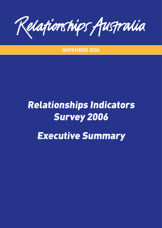Relationships Australia

**NOVEMBER 2006**

# Relationships Indicators Survey 2006 Executive Summary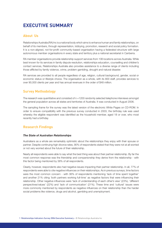# **EXECUTIVE SUMMARY**

# **About Us**

Relationships Australia (RA) Inc is a national body which aims to enhance human and family relationships, on behalf of its members, through representation, lobbying, promotion, research and social policy formation. It is a non-aligned, not-for-profit community-based organisation having a federated structure with large autonomous member organisations in every state and territory plus a national secretariat in Canberra.

RA member organisations provide relationship support services from 106 locations across Australia. While best known for its services in family dispute resolution, relationships education, counselling and children's contact services, Relationships Australia also provides assistance to a diverse range of clients including those afflicted by family violence, crime, problem gambling, drought and natural disaster.

RA services are provided to all people regardless of age, religion, cultural background, gender, social or economic status or lifestyle choice. The organisation as a whole, with its 800 staff, provides services to over 90,000 clients per year and has annual revenues in the order of \$48 million.

## **Survey Methodology**

The research was quantitative and consisted of  $n = 1200$  randomly selected telephone interviews amongst the general population across all states and territories of Australia. It was conducted in August 2006.

The sampling frame for the survey was the latest version of the electronic White Pages on CD-ROM. In order to ensure compatibility with the previous survey conducted in 2003, the birthday rule was used whereby the eligible respondent was identified as the household member, aged 18 or over, who most recently had a birthday

## **Research Findings**

#### *The State of Australian Relationships*

Australians as a whole are remarkably optimistic about the relationships they enjoy with their spouse or partner. Despite continuing high divorce rates, 90% of respondents stated that they were not at all worried or not very worried about the future of their relationship.

Nearly all respondents were able to say what the best thing was about their partner relationship. By far the most common response was the friendship and companionship they derive from the relationship - with this factor being mentioned by 38% of all respondents.

Clearly, however, respondents also had negative issues impacting their partner relationship. In all, 77% of respondents were able to cite negative influences on their relationships. As in previous surveys, time factors were the most common concern - with 36% of respondents mentioning 'lack of time spent together' and another 21% citing 'both partners working full-time' as negative factors that were influencing their relationship. Other negative influences were 'lack of understanding of each other's view' (23%), 'different perspectives/values' (22%) and 'lack of communication' (21%). These time and 'cultural' issues were more commonly mentioned by respondents as negative influences on their relationship than the harder social problems like violence, drugs and alcohol, gambling and unemployment.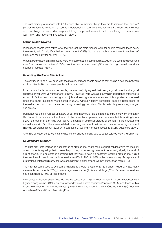The vast majority of respondents (91%) were able to mention things they did to improve their spouse/ partner relationship. Reflecting a realistic understanding of some of these key negative influences, the most common things that respondents reported doing to improve their relationship were 'trying to communicate well' (31%) and 'spending time together' (29%).

#### *Marriage and Divorce*

When respondents were asked what they thought the main reasons were for people marrying these days, the majority said 'to signify a life long commitment' (68%), 'to make a public commitment to each other' (63%) and 'security for children' (62%).

When asked what the main reasons were for people not to get married nowadays, the top three responses were 'bad previous experience' (72%), 'avoidance of commitment' (67%) and 'strong commitment does not need marriage' (63%).

#### *Balancing Work and Family Life*

This continues to be a key issue with the majority of respondents agreeing that finding a balance between work and family life can cause problems in a relationship.

In terms of what is important to people, the vast majority agreed that being a good parent and a good spouse/partner were very important to them. However, there was also fairly high importance attached to economic factors, such as having a paid job and earning a lot of money, and this importance increased since the same questions were asked in 2003. Although family dominates people's perceptions of themselves, economic factors are becoming increasingly important. This is particularly so among younger age groups.

Respondents cited a number of factors or policies that would help them to better balance work and family life. Some of these were factors that could be driven by employers, such as more flexible working hours (42%), the option of part-time work (36%), a change in employer attitude or company culture (26%) and unpaid leave (21%). Others were related more to government policies, such as increased government financial assistance (35%), lower child care fees (21%) and improved access to quality aged care (20%).

One-third of respondents felt that they had no real choice in being able to better balance work and family life.

#### *Relationship Support*

The data highlights increasing acceptance of professional relationship support services with the majority of respondents agreeing that to seek help through counselling does not necessarily signify the end of a relationship. The percentage agreeing that they would have no hesitation seeking professional help if their relationship was in trouble increased from 56% in 2001 to 63% in the current survey. Acceptance of professional relationship services was considerably higher among women (69%) than men (52%).

The main resource used to overcome relationship problems was to talk to friends – cited by 48%. Many also mentioned parents (25%), books/magazines/internet (21%) and siblings (20%). Professional services had been used by 19% of respondents.

Awareness of Relationships Australia has increased from 15% in 1998 to 35% in 2006. Awareness was higher among women (42%), among respondents who were separated/divorced (47%) and those with a household income over \$75,000 a year (45%). It was also better known in Queensland (48%), Western Australia (46%) and South Australia (40%).